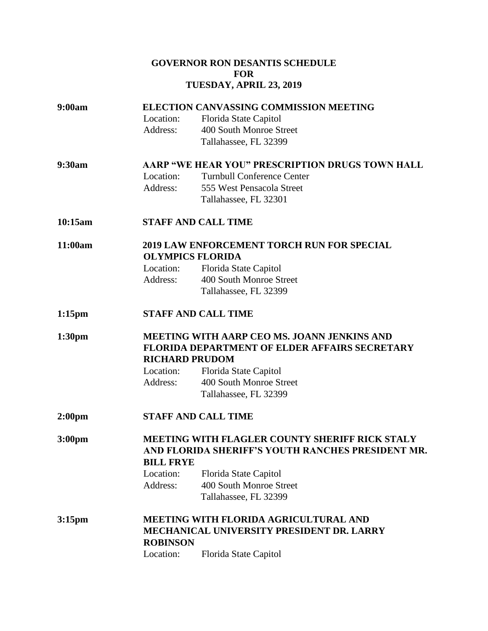### **GOVERNOR RON DESANTIS SCHEDULE FOR TUESDAY, APRIL 23, 2019**

| 9:00am             | <b>ELECTION CANVASSING COMMISSION MEETING</b>                                                       |                                   |                       |
|--------------------|-----------------------------------------------------------------------------------------------------|-----------------------------------|-----------------------|
|                    | Location:                                                                                           | Florida State Capitol             |                       |
|                    | Address:                                                                                            | 400 South Monroe Street           |                       |
|                    |                                                                                                     | Tallahassee, FL 32399             |                       |
| 9:30am             | AARP "WE HEAR YOU" PRESCRIPTION DRUGS TOWN HALL                                                     |                                   |                       |
|                    | Location:                                                                                           | <b>Turnbull Conference Center</b> |                       |
|                    | Address:                                                                                            | 555 West Pensacola Street         |                       |
|                    |                                                                                                     | Tallahassee, FL 32301             |                       |
| 10:15am            | <b>STAFF AND CALL TIME</b>                                                                          |                                   |                       |
| 11:00am            | <b>2019 LAW ENFORCEMENT TORCH RUN FOR SPECIAL</b>                                                   |                                   |                       |
|                    | <b>OLYMPICS FLORIDA</b>                                                                             |                                   |                       |
|                    | Location:                                                                                           | Florida State Capitol             |                       |
|                    | Address:                                                                                            | 400 South Monroe Street           |                       |
|                    |                                                                                                     | Tallahassee, FL 32399             |                       |
| $1:15$ pm          | <b>STAFF AND CALL TIME</b>                                                                          |                                   |                       |
| 1:30 <sub>pm</sub> | <b>MEETING WITH AARP CEO MS. JOANN JENKINS AND</b><br>FLORIDA DEPARTMENT OF ELDER AFFAIRS SECRETARY |                                   |                       |
|                    |                                                                                                     |                                   |                       |
|                    | Location:                                                                                           | Florida State Capitol             |                       |
|                    | Address:                                                                                            | 400 South Monroe Street           |                       |
|                    |                                                                                                     |                                   | Tallahassee, FL 32399 |
| 2:00 <sub>pm</sub> | <b>STAFF AND CALL TIME</b>                                                                          |                                   |                       |
| 3:00 <sub>pm</sub> | MEETING WITH FLAGLER COUNTY SHERIFF RICK STALY                                                      |                                   |                       |
|                    | AND FLORIDA SHERIFF'S YOUTH RANCHES PRESIDENT MR.                                                   |                                   |                       |
|                    | <b>BILL FRYE</b>                                                                                    |                                   |                       |
|                    | Location:                                                                                           | Florida State Capitol             |                       |
|                    | Address:                                                                                            | 400 South Monroe Street           |                       |
|                    |                                                                                                     | Tallahassee, FL 32399             |                       |
| 3:15 <sub>pm</sub> | <b>MEETING WITH FLORIDA AGRICULTURAL AND</b>                                                        |                                   |                       |
|                    | MECHANICAL UNIVERSITY PRESIDENT DR. LARRY                                                           |                                   |                       |
|                    | <b>ROBINSON</b>                                                                                     |                                   |                       |
|                    | Location:                                                                                           | Florida State Capitol             |                       |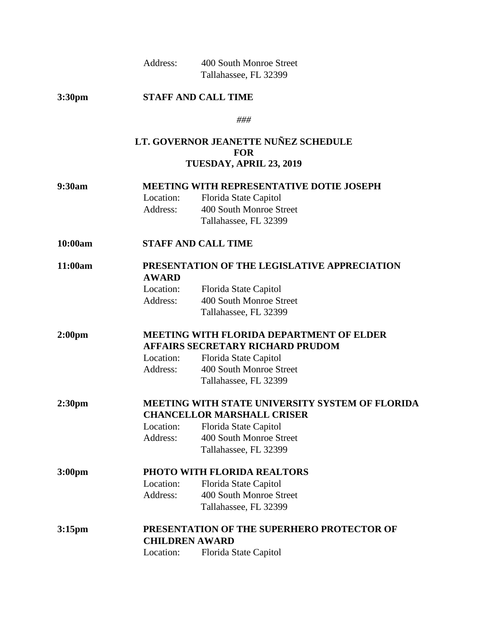| Address: | 400 South Monroe Street |
|----------|-------------------------|
|          | Tallahassee, FL 32399   |

# **3:30pm STAFF AND CALL TIME**

*###*

### **LT. GOVERNOR JEANETTE NUÑEZ SCHEDULE FOR TUESDAY, APRIL 23, 2019**

| 9:30am             | <b>MEETING WITH REPRESENTATIVE DOTIE JOSEPH</b> |                         |  |
|--------------------|-------------------------------------------------|-------------------------|--|
|                    | Location:                                       | Florida State Capitol   |  |
|                    | Address:                                        | 400 South Monroe Street |  |
|                    |                                                 | Tallahassee, FL 32399   |  |
| 10:00am            | <b>STAFF AND CALL TIME</b>                      |                         |  |
| 11:00am            | PRESENTATION OF THE LEGISLATIVE APPRECIATION    |                         |  |
|                    | <b>AWARD</b>                                    |                         |  |
|                    | Location:                                       | Florida State Capitol   |  |
|                    | Address:                                        | 400 South Monroe Street |  |
|                    |                                                 | Tallahassee, FL 32399   |  |
| 2:00 <sub>pm</sub> | <b>MEETING WITH FLORIDA DEPARTMENT OF ELDER</b> |                         |  |
|                    | <b>AFFAIRS SECRETARY RICHARD PRUDOM</b>         |                         |  |
|                    | Location:                                       | Florida State Capitol   |  |
|                    | Address:                                        | 400 South Monroe Street |  |
|                    |                                                 | Tallahassee, FL 32399   |  |
| 2:30 <sub>pm</sub> | MEETING WITH STATE UNIVERSITY SYSTEM OF FLORIDA |                         |  |
|                    | <b>CHANCELLOR MARSHALL CRISER</b>               |                         |  |
|                    | Location:                                       | Florida State Capitol   |  |
|                    | Address:                                        | 400 South Monroe Street |  |
|                    |                                                 | Tallahassee, FL 32399   |  |
| 3:00 <sub>pm</sub> | PHOTO WITH FLORIDA REALTORS                     |                         |  |
|                    | Location:                                       | Florida State Capitol   |  |
|                    | Address:                                        | 400 South Monroe Street |  |
|                    |                                                 | Tallahassee, FL 32399   |  |
| 3:15 <sub>pm</sub> | PRESENTATION OF THE SUPERHERO PROTECTOR OF      |                         |  |
|                    | <b>CHILDREN AWARD</b>                           |                         |  |
|                    | Location:                                       | Florida State Capitol   |  |